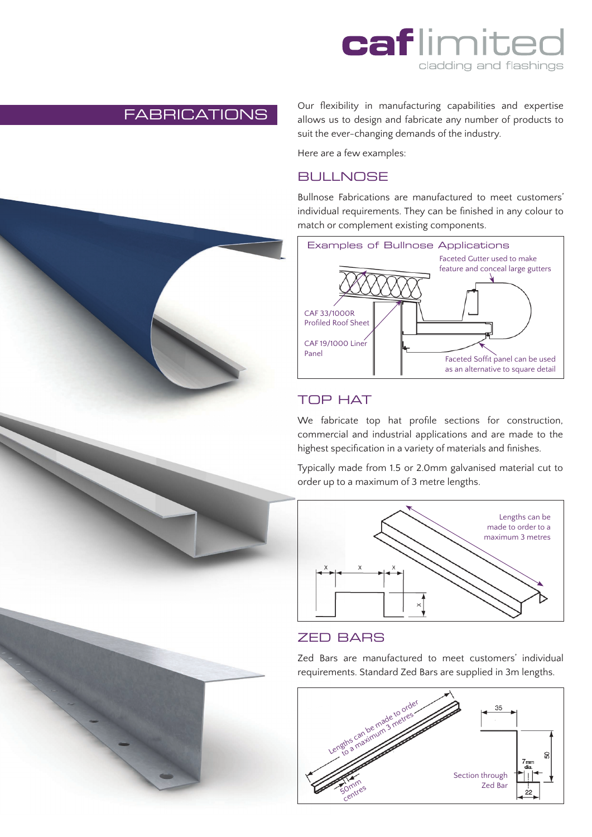

## FABRICATIONS

Our flexibility in manufacturing capabilities and expertise allows us to design and fabricate any number of products to suit the ever-changing demands of the industry.

Here are a few examples:

### **BULLNOSE**

Bullnose Fabrications are manufactured to meet customers' individual requirements. They can be finished in any colour to match or complement existing components.



# TOP HAT

We fabricate top hat profile sections for construction, commercial and industrial applications and are made to the highest specification in a variety of materials and finishes.

Typically made from 1.5 or 2.0mm galvanised material cut to order up to a maximum of 3 metre lengths.



#### ZED BARS

Zed Bars are manufactured to meet customers' individual requirements. Standard Zed Bars are supplied in 3m lengths.